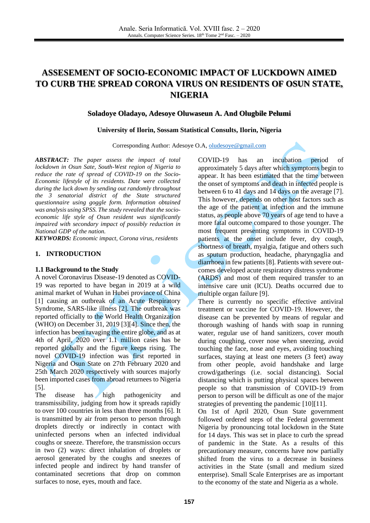# **ASSESEMENT OF SOCIO-ECONOMIC IMPACT OF LUCKDOWN AIMED TO CURB THE SPREAD CORONA VIRUS ON RESIDENTS OF OSUN STATE, NIGERIA**

#### **Soladoye Oladayo, Adesoye Oluwaseun A. And Olugbile Pelumi**

#### **University of Ilorin, Sossam Statistical Consults, Ilorin, Nigeria**

Corresponding Author: Adesoye O.A, [oludesoye@gmail.com](mailto:oludesoye@gmail.com)

*ABSTRACT: The paper assess the impact of total lockdown in Osun Sate, South-West region of Nigeria to reduce the rate of spread of COVID-19 on the Socio-Economic lifestyle of its residents. Date were collected during the luck down by sending out randomly throughout the 3 senatorial district of the State structured questionnaire using goggle form. Information obtained was analysis using SPSS. The study revealed that the socioeconomic life style of Osun resident was significantly impaired with secondary impact of possibly reduction in National GDP of the nation.* 

*KEYWORDS: Economic impact, Corona virus, residents*

#### **1. INTRODUCTION**

#### **1.1 Background to the Study**

A novel Coronavirus Disease-19 denoted as COVID-19 was reported to have began in 2019 at a wild animal market of Wuhan in Hubei province of China [\[1\]](#page-6-0) causing an outbreak of an Acute Respiratory Syndrome, SARS-like illness [\[2\].](#page-7-0) The outbreak was reported officially to the World Health Organization (WHO) on December 31, 2019 [\[3\]](#page-7-1)[\[4\].](#page-7-2) Since then, the infection has been ravaging the entire globe, and as at 4th of April, 2020 over 1.1 million cases has be reported globally and the figure keeps rising. The novel COVID-19 infection was first reported in Nigeria and Osun State on 27th February 2020 and 25th March 2020 respectively with sources majorly been imported cases from abroad returnees to Nigeria [\[5\].](#page-7-3)

The disease has high pathogenicity and transmissibility, judging from how it spreads rapidly to over 100 countries in less than three months [\[6\].](#page-7-4) It is transmitted by air from person to person through droplets directly or indirectly in contact with uninfected persons when an infected individual coughs or sneeze. Therefore, the transmission occurs in two (2) ways: direct inhalation of droplets or aerosol generated by the coughs and sneezes of infected people and indirect by hand transfer of contaminated secretions that drop on common surfaces to nose, eyes, mouth and face.

COVID-19 has an incubation period of approximately 5 days after which symptoms begin to appear. It has been estimated that the time between the onset of symptoms and death in infected people is between 6 to 41 days and 14 days on the average [\[7\].](#page-7-5) This however, depends on other host factors such as the age of the patient at infection and the immune status, as people above 70 years of age tend to have a more fatal outcome compared to those younger. The most frequent presenting symptoms in COVID-19 patients at the onset include fever, dry cough, shortness of breath, myalgia, fatigue and others such as sputum production, headache, pharyngaglia and diarrhoea in few patient[s \[8\].](#page-7-6) Patients with severe outcomes developed acute respiratory distress syndrome (ARDS) and most of them required transfer to an intensive care unit (ICU). Deaths occurred due to multiple organ failure [\[9\].](#page-7-7)

There is currently no specific effective antiviral treatment or vaccine for COVID-19. However, the disease can be prevented by means of regular and thorough washing of hands with soap in running water, regular use of hand sanitizers, cover mouth during coughing, cover nose when sneezing, avoid touching the face, nose and eyes, avoiding touching surfaces, staying at least one meters (3 feet) away from other people, avoid handshake and large crowd/gatherings (i.e. social distancing). Social distancing which is putting physical spaces between people so that transmission of COVID-19 from person to person will be difficult as one of the major strategies of preventing the pandemic [\[10\]](#page-7-8)[\[11\].](#page-7-9)

On 1st of April 2020, Osun State government followed ordered steps of the Federal government Nigeria by pronouncing total lockdown in the State for 14 days. This was set in place to curb the spread of pandemic in the State. As a results of this precautionary measure, concerns have now partially shifted from the virus to a decrease in business activities in the State (small and medium sized enterprise). Small Scale Enterprises are as important to the economy of the state and Nigeria as a whole.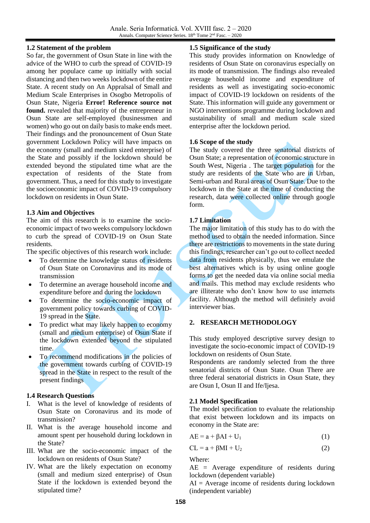## **1.2 Statement of the problem**

So far, the government of Osun State in line with the advice of the WHO to curb the spread of COVID-19 among her populace came up initially with social distancing and then two weeks lockdown of the entire State. A recent study on An Appralsal of Small and Medium Scale Enterprises in Osogbo Metropolis of Osun State, Nigeria **Error! Reference source not found.** revealed that majority of the entrepreneur in Osun State are self-employed (businessmen and women) who go out on daily basis to make ends meet. Their findings and the pronouncement of Osun State government Lockdown Policy will have impacts on the economy (small and medium sized enterprise) of the State and possibly if the lockdown should be extended beyond the stipulated time what are the expectation of residents of the State from government. Thus, a need for this study to investigate the socioeconomic impact of COVID-19 compulsory lockdown on residents in Osun State.

## **1.3 Aim and Objectives**

The aim of this research is to examine the socioeconomic impact of two weeks compulsory lockdown to curb the spread of COVID-19 on Osun State residents.

The specific objectives of this research work include:

- To determine the knowledge status of residents of Osun State on Coronavirus and its mode of transmission
- To determine an average household income and expenditure before and during the lockdown
- To determine the socio-economic impact of government policy towards curbing of COVID-19 spread in the State.
- To predict what may likely happen to economy (small and medium enterprise) of Osun State if the lockdown extended beyond the stipulated time.
- To recommend modifications in the policies of the government towards curbing of COVID-19 spread in the State in respect to the result of the present findings

# **1.4 Research Questions**

- I. What is the level of knowledge of residents of Osun State on Coronavirus and its mode of transmission?
- II. What is the average household income and amount spent per household during lockdown in the State?
- III. What are the socio-economic impact of the lockdown on residents of Osun State?
- IV. What are the likely expectation on economy (small and medium sized enterprise) of Osun State if the lockdown is extended beyond the stipulated time?

## **1.5 Significance of the study**

This study provides information on Knowledge of residents of Osun State on coronavirus especially on its mode of transmission. The findings also revealed average household income and expenditure of residents as well as investigating socio-economic impact of COVID-19 lockdown on residents of the State. This information will guide any government or NGO interventions programme during lockdown and sustainability of small and medium scale sized enterprise after the lockdown period.

# **1.6 Scope of the study**

The study covered the three senatorial districts of Osun State; a representation of economic structure in South West, Nigeria . The target population for the study are residents of the State who are in Urban, Semi-urban and Rural areas of Osun State. Due to the lockdown in the State at the time of conducting the research, data were collected online through google form.

# **1.7 Limitation**

The major limitation of this study has to do with the method used to obtain the needed information. Since there are restrictions to movements in the state during this findings, researcher can't go out to collect needed data from residents physically, thus we emulate the best alternatives which is by using online google forms to get the needed data via online social media and mails. This method may exclude residents who are illiterate who don't know how to use internets facility. Although the method will definitely avoid interviewer bias.

# **2. RESEARCH METHODOLOGY**

This study employed descriptive survey design to investigate the socio-economic impact of COVID-19 lockdown on residents of Osun State.

Respondents are randomly selected from the three senatorial districts of Osun State. Osun There are three federal senatorial districts in Osun State, they are Osun I, Osun II and Ife/Ijesa.

# **2.1 Model Specification**

The model specification to evaluate the relationship that exist between lockdown and its impacts on economy in the State are:

$$
AE = a + \beta AI + U_1 \tag{1}
$$

$$
CL = a + \beta MI + U_2 \tag{2}
$$

Where:

AE = Average expenditure of residents during lockdown (dependent variable)

 $AI = Average$  income of residents during lockdown (independent variable)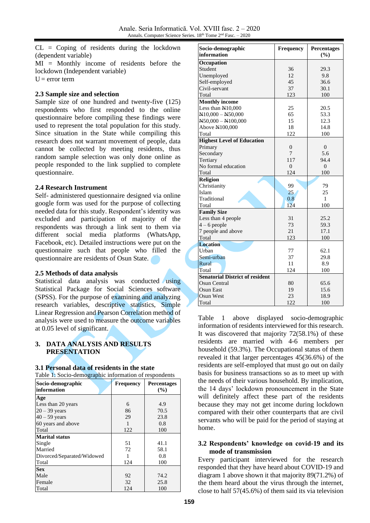CL = Coping of residents during the lockdown (dependent variable)

MI = Monthly income of residents before the lockdown (Independent variable)  $U = error term$ 

#### **2.3 Sample size and selection**

Sample size of one hundred and twenty-five (125) respondents who first responded to the online questionnaire before compiling these findings were used to represent the total population for this study. Since situation in the State while compiling this research does not warrant movement of people, data cannot be collected by meeting residents, thus random sample selection was only done online as people responded to the link supplied to complete questionnaire.

#### **2.4 Research Instrument**

Self- administered questionnaire designed via online google form was used for the purpose of collecting needed data for this study. Respondent's identity was excluded and participation of majority of the respondents was through a link sent to them via different social media platforms (WhatsApp, Facebook, etc). Detailed instructions were put on the questionnaire such that people who filled the questionnaire are residents of Osun State.

## **2.5 Methods of data analysis**

Statistical data analysis was conducted using Statistical Package for Social Sciences software (SPSS). For the purpose of examining and analyzing research variables, descriptive statistics, Simple Linear Regression and Pearson Correlation method of analysis were used to measure the outcome variables at 0.05 level of significant.

## **3. DATA ANALYSIS AND RESULTS PRESENTATION**

#### **3.1 Personal data of residents in the state**

| Table 1: Socio-demographic information of respondents |                  |                           |  |  |
|-------------------------------------------------------|------------------|---------------------------|--|--|
| Socio-demographic<br>information                      | <b>Frequency</b> | <b>Percentages</b><br>(%) |  |  |
| Age                                                   |                  |                           |  |  |
| Less than 20 years                                    | 6                | 4.9                       |  |  |
| $20 - 39$ years                                       | 86               | 70.5                      |  |  |
| $40 - 59$ years                                       | 29               | 23.8                      |  |  |
| 60 years and above                                    | 1                | 0.8                       |  |  |
| Total                                                 | 122              | 100                       |  |  |
| <b>Marital status</b>                                 |                  |                           |  |  |
| Single                                                | 51               | 41.1                      |  |  |
| Married                                               | 72               | 58.1                      |  |  |
| Divorced/Separated/Widowed                            |                  | 0.8                       |  |  |
| Total                                                 | 124              | 100                       |  |  |
| <b>Sex</b>                                            |                  |                           |  |  |
| Male                                                  | 92               | 74.2                      |  |  |
| Female                                                | 32               | 25.8                      |  |  |
| Total                                                 | 124              | 100                       |  |  |

| Socio-demographic<br>information       | <b>Frequency</b> | <b>Percentages</b><br>(%) |
|----------------------------------------|------------------|---------------------------|
| Occupation                             |                  |                           |
| Student                                | 36               | 29.3                      |
| Unemployed                             | 12               | 9.8                       |
| Self-employed                          | 45               | 36.6                      |
| Civil-servant                          | 37               | 30.1                      |
| Total                                  | 123              | 100                       |
| <b>Monthly income</b>                  |                  |                           |
| Less than N10,000                      | 25               | 20.5                      |
| $N10,000 - N50,000$                    | 65               | 53.3                      |
| $N50,000 - N100,000$                   | 15               | 12.3                      |
| Above N100,000                         | 18               | 14.8                      |
| Total                                  | 122              | 100                       |
| <b>Highest Level of Education</b>      |                  |                           |
| Primary                                | $\theta$         | $\theta$                  |
| Secondary                              | 7                | 5.6                       |
| Tertiary                               | 117              | 94.4                      |
| No formal education                    | $\theta$         | $\Omega$                  |
| Total                                  | 124              | 100                       |
| <b>Religion</b>                        |                  |                           |
| Christianity                           | 99               | 79                        |
| Islam                                  | 25               | 25                        |
| Traditional                            | 0.8              | 1                         |
| Total                                  | 124              | 100                       |
| <b>Family Size</b>                     |                  |                           |
| Less than 4 people                     | 31               | 25.2                      |
| $4-6$ people                           | 73               | 59.3                      |
| 7 people and above                     | 21               | 17.1                      |
| Total                                  | 123              | 100                       |
| <b>Location</b>                        |                  |                           |
| Urban                                  | 77               | 62.1                      |
| Semi-urban                             | 37               | 29.8                      |
| Rural                                  | 11               | 8.9                       |
| Total                                  | 124              | 100                       |
| <b>Senatorial District of resident</b> |                  |                           |
| Osun Central                           | 80               | 65.6                      |
| Osun East                              | 19               | 15.6                      |
| Osun West                              | 23               | 18.9                      |
| Total                                  | 122              | 100                       |

Table 1 above displayed socio-demographic information of residents interviewed for this research. It was discovered that majority 72(58.1%) of these residents are married with 4-6 members per household (59.3%). The Occupational status of them revealed it that larger percentages 45(36.6%) of the residents are self-employed that must go out on daily basis for business transactions so as to meet up with the needs of their various household. By implication, the 14 days' lockdown pronouncement in the State will definitely affect these part of the residents because they may not get income during lockdown compared with their other counterparts that are civil servants who will be paid for the period of staying at home.

## **3.2 Respondents' knowledge on covid-19 and its mode of transmission**

Every participant interviewed for the research responded that they have heard about COVID-19 and diagram 1 above shown it that majority 89(71.2%) of the them heard about the virus through the internet, close to half 57(45.6%) of them said its via television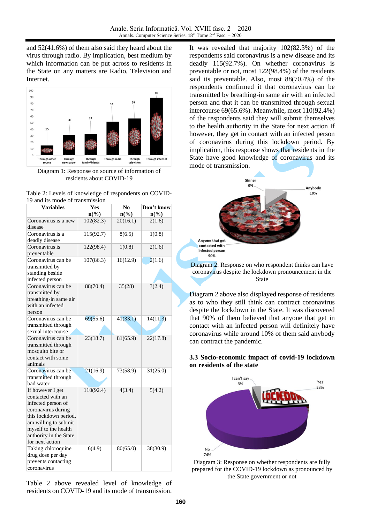and 52(41.6%) of them also said they heard about the virus through radio. By implication, best medium by which information can be put across to residents in the State on any matters are Radio, Television and Internet.



Diagram 1: Response on source of information of residents about COVID-19

| <b>Variables</b>                                                                                                                                                                                        | Yes<br>$n\left(\frac{0}{0}\right)$ | N <sub>0</sub><br>$n\left(\%\right)$ | Don't know<br>$n\left(\frac{6}{6}\right)$ |
|---------------------------------------------------------------------------------------------------------------------------------------------------------------------------------------------------------|------------------------------------|--------------------------------------|-------------------------------------------|
| Coronavirus is a new                                                                                                                                                                                    | 102(82.3)                          | 20(16.1)                             | 2(1.6)                                    |
| disease<br>Coronavirus is a                                                                                                                                                                             | 115(92.7)                          | 8(6.5)                               | 1(0.8)                                    |
| deadly disease                                                                                                                                                                                          |                                    |                                      |                                           |
| Coronavirus is<br>preventable                                                                                                                                                                           | 122(98.4)                          | 1(0.8)                               | 2(1.6)                                    |
| Coronavirus can be<br>transmitted by<br>standing beside<br>infected person                                                                                                                              | 107(86.3)                          | 16(12.9)                             | 2(1.6)                                    |
| Coronavirus can be<br>transmitted by<br>breathing-in same air<br>with an infected<br>person                                                                                                             | 88(70.4)                           | 35(28)                               | 3(2.4)                                    |
| Coronavirus can be<br>transmitted through<br>sexual intercourse                                                                                                                                         | 69(55.6)                           | 41(33.1)                             | 14(11.3)                                  |
| Coronavirus can be<br>transmitted through<br>mosquito bite or<br>contact with some<br>animals                                                                                                           | 23(18.7)                           | 81(65.9)                             | 22(17.8)                                  |
| Coronavirus can be<br>transmitted through<br>bad water                                                                                                                                                  | 21(16.9)                           | 73(58.9)                             | 31(25.0)                                  |
| If however I get<br>contacted with an<br>infected person of<br>coronavirus during<br>this lockdown period,<br>am willing to submit<br>myself to the health<br>authority in the State<br>for next action | 110(92.4)                          | 4(3.4)                               | 5(4.2)                                    |
| Taking chloroquine<br>drug dose per day<br>prevents contacting<br>coronavirus                                                                                                                           | 6(4.9)                             | 80(65.0)                             | 38(30.9)                                  |

| Table 2: Levels of knowledge of respondents on COVID- |  |
|-------------------------------------------------------|--|
| 19 and its mode of transmission                       |  |

Table 2 above revealed level of knowledge of residents on COVID-19 and its mode of transmission.

It was revealed that majority 102(82.3%) of the respondents said coronavirus is a new disease and its deadly 115(92.7%). On whether coronavirus is preventable or not, most 122(98.4%) of the residents said its preventable. Also, most 88(70.4%) of the respondents confirmed it that coronavirus can be transmitted by breathing-in same air with an infected person and that it can be transmitted through sexual intercourse 69(65.6%). Meanwhile, most 110(92.4%) of the respondents said they will submit themselves to the health authority in the State for next action If however, they get in contact with an infected person of coronavirus during this lockdown period. By implication, this response shows that residents in the State have good knowledge of coronavirus and its mode of transmission.



Diagram 2: Response on who respondent thinks can have coronavirus despite the lockdown pronouncement in the State

Diagram 2 above also displayed response of residents as to who they still think can contract coronavirus despite the lockdown in the State. It was discovered that 90% of them believed that anyone that get in contact with an infected person will definitely have coronavirus while around 10% of them said anybody can contract the pandemic.

## **3.3 Socio-economic impact of covid-19 lockdown on residents of the state**



Diagram 3: Response on whether respondents are fully prepared for the COVID-19 lockdown as pronounced by the State government or not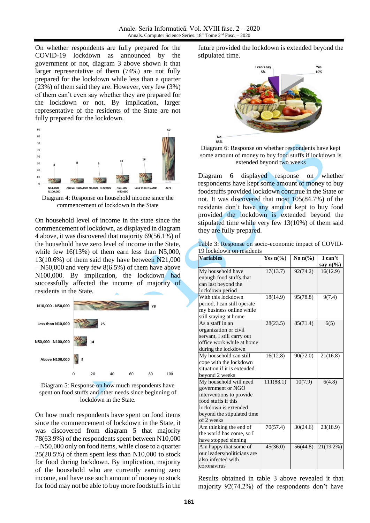No

On whether respondents are fully prepared for the COVID-19 lockdown as announced by the government or not, diagram 3 above shown it that larger representative of them (74%) are not fully prepared for the lockdown while less than a quarter (23%) of them said they are. However, very few (3%) of them can't even say whether they are prepared for the lockdown or not. By implication, larger representative of the residents of the State are not fully prepared for the lockdown.



Diagram 4: Response on household income since the commencement of lockdown in the State

On household level of income in the state since the commencement of lockdown, as displayed in diagram 4 above, it was discovered that majority 69(56.1%) of the household have zero level of income in the State, while few 16(13%) of them earn less than N5,000, 13(10.6%) of them said they have between N21,000 – N50,000 and very few 8(6.5%) of them have above N100,000. By implication, the lockdown had successfully affected the income of majority of residents in the State.



Diagram 5: Response on how much respondents have spent on food stuffs and other needs since beginning of lockdown in the State.

On how much respondents have spent on food items since the commencement of lockdown in the State, it was discovered from diagram 5 that majority 78(63.9%) of the respondents spent between N10,000 – N50,000 only on food items, while close to a quarter 25(20.5%) of them spent less than N10,000 to stock for food during lockdown. By implication, majority of the household who are currently earning zero income, and have use such amount of money to stock for food may not be able to buy more foodstuffs in the

future provided the lockdown is extended beyond the stipulated time.





Diagram 6 displayed response on whether respondents have kept some amount of money to buy foodstuffs provided lockdown continue in the State or not. It was discovered that most 105(84.7%) of the residents don't have any amount kept to buy food provided the lockdown is extended beyond the stipulated time while very few 13(10%) of them said they are fully prepared.

|                          | Table 3: Response on socio-economic impact of COVID- |  |
|--------------------------|------------------------------------------------------|--|
| 19 lockdown on residents |                                                      |  |

| <b>Variables</b>            | Yes $n\frac{6}{6}$ | No $n\frac{6}{6}$ | I can't            |
|-----------------------------|--------------------|-------------------|--------------------|
|                             |                    |                   | say $n\frac{6}{6}$ |
| My household have           | 17(13.7)           | 92(74.2)          | 16(12.9)           |
| enough food stuffs that     |                    |                   |                    |
| can last beyond the         |                    |                   |                    |
| lockdown period             |                    |                   |                    |
| With this lockdown          | 18(14.9)           | 95(78.8)          | 9(7.4)             |
| period, I can still operate |                    |                   |                    |
| my business online while    |                    |                   |                    |
| still staying at home       |                    |                   |                    |
| As a staff in an            | 28(23.5)           | 85(71.4)          | 6(5)               |
| organization or civil       |                    |                   |                    |
| servant, I still carry out  |                    |                   |                    |
| office work while at home   |                    |                   |                    |
| during the lockdown         |                    |                   |                    |
| My household can still      | 16(12.8)           | 90(72.0)          | 21(16.8)           |
| cope with the lockdown      |                    |                   |                    |
| situation if it is extended |                    |                   |                    |
| beyond 2 weeks              |                    |                   |                    |
| My household will need      | 111(88.1)          | 10(7.9)           | 6(4.8)             |
| government or NGO           |                    |                   |                    |
| interventions to provide    |                    |                   |                    |
| food stuffs if this         |                    |                   |                    |
| lockdown is extended        |                    |                   |                    |
| beyond the stipulated time  |                    |                   |                    |
| of 2 weeks                  |                    |                   |                    |
| Am thinking the end of      | 70(57.4)           | 30(24.6)          | 23(18.9)           |
| the world has come, so I    |                    |                   |                    |
| have stopped sinning        |                    |                   |                    |
| Am happy that some of       | 45(36.0)           | 56(44.8)          | 21(19.2%)          |
| our leaders/politicians are |                    |                   |                    |
| also infected with          |                    |                   |                    |
| coronavirus                 |                    |                   |                    |

Results obtained in table 3 above revealed it that majority 92(74.2%) of the respondents don't have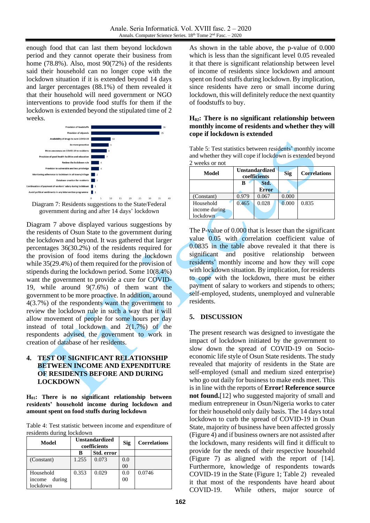enough food that can last them beyond lockdown period and they cannot operate their business from home (78.8%). Also, most 90(72%) of the residents said their household can no longer cope with the lockdown situation if it is extended beyond 14 days and larger percentages (88.1%) of them revealed it that their household will need government or NGO interventions to provide food stuffs for them if the lockdown is extended beyond the stipulated time of 2 weeks.



Diagram 7: Residents suggestions to the State/Federal government during and after 14 days' lockdown

Diagram 7 above displayed various suggestions by the residents of Osun State to the government during the lockdown and beyond. It was gathered that larger percentages 36(30.2%) of the residents required for the provision of food items during the lockdown while 35(29.4%) of them required for the provision of stipends during the lockdown period. Some 10(8.4%) want the government to provide a cure for COVID-19, while around 9(7.6%) of them want the government to be more proactive. In addition, around 4(3.7%) of the respondents want the government to review the lockdown rule in such a way that it will allow movement of people for some hours per day instead of total lockdown and  $2(1.7%)$  of the respondents advised the government to work in creation of database of her residents.

## **4. TEST OF SIGNIFICANT RELATIONSHIP BETWEEN INCOME AND EXPENDITURE OF RESIDENTS BEFORE AND DURING LOCKDOWN**

**H01: There is no significant relationship between residents' household income during lockdown and amount spent on food stuffs during lockdown**

Table 4: Test statistic between income and expenditure of residents during lockdown

| Model            | <b>Unstandardized</b><br>coefficients |            | Sig            | <b>Correlations</b> |
|------------------|---------------------------------------|------------|----------------|---------------------|
|                  | в                                     | Std. error |                |                     |
| (Constant)       | 1.255                                 | 0.073      | 0.0            |                     |
|                  |                                       |            | 00             |                     |
| Household        | 0.353                                 | 0.029      | 0.0            | 0.0746              |
| during<br>income |                                       |            | 0 <sup>0</sup> |                     |
| lockdown         |                                       |            |                |                     |

As shown in the table above, the p-value of 0.000 which is less than the significant level 0.05 revealed it that there is significant relationship between level of income of residents since lockdown and amount spent on food stuffs during lockdown. By implication, since residents have zero or small income during lockdown, this will definitely reduce the next quantity of foodstuffs to buy.

## **H02: There is no significant relationship between monthly income of residents and whether they will cope if lockdown is extended**

Table 5: Test statistics between residents' monthly income and whether they will cope if lockdown is extended beyond 2 weeks or not

| Model           | <b>Unstandardized</b><br>coefficients |              | <b>Sig</b> | <b>Correlations</b> |
|-----------------|---------------------------------------|--------------|------------|---------------------|
|                 |                                       | Std.         |            |                     |
|                 |                                       | <b>Error</b> |            |                     |
| (Constant)      | 0.979                                 | 0.067        | 0.000      |                     |
| Household       | 0.465                                 | 0.028        | 0.000      | 0.835               |
| income during   |                                       |              |            |                     |
| <b>lockdown</b> |                                       |              |            |                     |

The P-value of 0.000 that is lesser than the significant value 0.05 with correlation coefficient value of 0.0835 in the table above revealed it that there is significant and positive relationship between residents' monthly income and how they will cope with lockdown situation. By implication, for residents to cope with the lockdown, there must be either payment of salary to workers and stipends to others; self-employed, students, unemployed and vulnerable residents.

# **5. DISCUSSION**

The present research was designed to investigate the impact of lockdown initiated by the government to slow down the spread of COVID-19 on Socioeconomic life style of Osun State residents. The study revealed that majority of residents in the State are self-employed (small and medium sized enterprise) who go out daily for business to make ends meet. This is in line with the reports of **Error! Reference source not found.**[\[12\]](#page-7-10) who suggested majority of small and medium entrepreneur in Osun/Nigeria works to cater for their household only daily basis. The 14 days total lockdown to curb the spread of COVID-19 in Osun State, majority of business have been affected grossly (Figure 4) and if business owners are not assisted after the lockdown, many residents will find it difficult to provide for the needs of their respective household (Figure 7) as aligned with the report of [\[14\].](#page-7-11) Furthermore, knowledge of respondents towards COVID-19 in the State (Figure 1; Table 2) revealed it that most of the respondents have heard about COVID-19. While others, major source of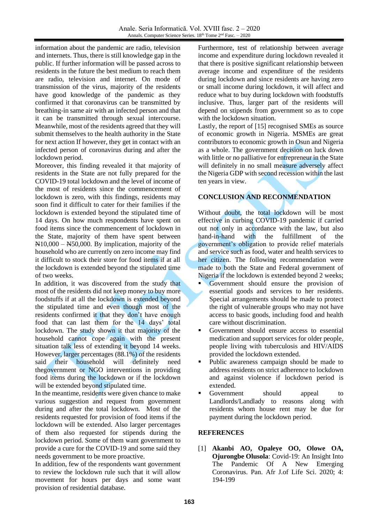information about the pandemic are radio, television and internets. Thus, there is still knowledge gap in the public. If further information will be passed across to residents in the future the best medium to reach them are radio, television and internet. On mode of transmission of the virus, majority of the residents have good knowledge of the pandemic as they confirmed it that coronavirus can be transmitted by breathing-in same air with an infected person and that it can be transmitted through sexual intercourse. Meanwhile, most of the residents agreed that they will submit themselves to the health authority in the State for next action If however, they get in contact with an infected person of coronavirus during and after the lockdown period.

Moreover, this finding revealed it that majority of residents in the State are not fully prepared for the COVID-19 total lockdown and the level of income of the most of residents since the commencement of lockdown is zero, with this findings, residents may soon find it difficult to cater for their families if the lockdown is extended beyond the stipulated time of 14 days. On how much respondents have spent on food items since the commencement of lockdown in the State, majority of them have spent between N10,000 – N50,000. By implication, majority of the household who are currently on zero income may find it difficult to stock their store for food items if at all the lockdown is extended beyond the stipulated time of two weeks.

In addition, it was discovered from the study that most of the residents did not keep money to buy more foodstuffs if at all the lockdown is extended beyond the stipulated time and even though most of the residents confirmed it that they don't have enough food that can last them for the 14 days' total lockdown. The study shown it that majority of the household cannot cope again with the present situation talk less of extending it beyond 14 weeks. However, larger percentages (88.1%) of the residents said their household will definitely need thegovernment or NGO interventions in providing food items during the lockdown or if the lockdown will be extended beyond stipulated time.

In the meantime, residents were given chance to make various suggestion and request from government during and after the total lockdown. Most of the residents requested for provision of food items if the lockdown will be extended. Also larger percentages of them also requested for stipends during the lockdown period. Some of them want government to provide a cure for the COVID-19 and some said they needs government to be more proactive.

In addition, few of the respondents want government to review the lockdown rule such that it will allow movement for hours per days and some want provision of residential database.

Furthermore, test of relationship between average income and expenditure during lockdown revealed it that there is positive significant relationship between average income and expenditure of the residents during lockdown and since residents are having zero or small income during lockdown, it will affect and reduce what to buy during lockdown with foodstuffs inclusive. Thus, larger part of the residents will depend on stipends from government so as to cope with the lockdown situation.

Lastly, the report of [\[15\]](#page-7-12) recognised SMEs as source of economic growth in Nigeria. MSMEs are great contributors to economic growth in Osun and Nigeria as a whole. The government decision on luck down with little or no palliative for entrepreneur in the State will definitely in no small measure adversely affect the Nigeria GDP with second recession within the last ten years in view.

# **CONCLUSION AND RECONMENDATION**

Without doubt, the total lockdown will be most effective in curbing COVID-19 pandemic if carried out not only in accordance with the law, but also hand-in-hand with the fulfillment of the government's obligation to provide relief materials and service such as food, water and health services to her citizen. The following recommendation were made to both the State and Federal government of Nigeria if the lockdown is extended beyond 2 weeks;

- Government should ensure the provision of essential goods and services to her residents. Special arrangements should be made to protect the right of vulnerable groups who may not have access to basic goods, including food and health care without discrimination.
- Government should ensure access to essential medication and support services for older people, people living with tuberculosis and HIV/AIDS provided the lockdown extended.
- Public awareness campaign should be made to address residents on strict adherence to lockdown and against violence if lockdown period is extended.
- Government should appeal to Landlords/Landlady to reasons along with residents whom house rent may be due for payment during the lockdown period.

# **REFERENCES**

<span id="page-6-0"></span>[1] **Akanbi AO, Opaleye OO, Olowe OA, Ojurongbe Olusola**: Covid-19: An Insight Into The Pandemic Of A New Emerging Coronavirus. Pan. Afr J.of Life Sci. 2020; 4: 194-199